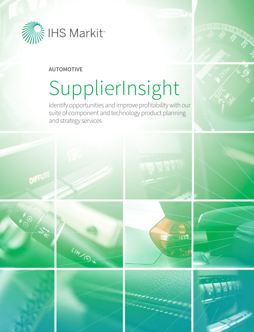

# **AUTOMOTIVE**

# SupplierInsight

Identify opportunities and improve profitability with our suite of component and technology product planning and strategy services



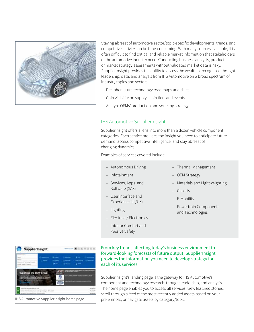

Staying abreast of automotive sector/topic-specific developments, trends, and competitive activity can be time-consuming. With many sources available, it is ofen dificult to fnd critical and reliable market information that stakeholders of the automotive industry need. Conducting business analysis, product, or market strategy assessments without validated market data is risky. SupplierInsight provides the ability to access the wealth of recognized thought leadership, data, and analysis from IHS Automotive on a broad spectrum of industry topics and sectors.

- Decipher future technology road maps and shifts
- ‒ Gain visibility on supply chain tiers and events
- ‒ Analyze OEMs' production and sourcing strategy

# IHS Automotive SupplierInsight

SupplierInsight offers a lens into more than a dozen vehicle component categories. Each service provides the insight you need to anticipate future demand, access competitive intelligence, and stay abreast of changing dynamics.

Examples of services covered include:

- ‒ Autonomous Driving
- ‒ Infotainment
- ‒ Services, Apps, and Software (SAS)
- ‒ User Interface and Experience (UI/UX)
- ‒ Lighting
- ‒ Electrical/ Electronics
- ‒ Interior Comfort and Passive Safety
- ‒ Thermal Management
- OEM Strategy
- Materials and Lightweighting
- ‒ Chassis
- ‒ E-Mobility
- Powertrain Components and Technologies

**WEIGHTEN** SupplierInsight A

IHS Automotive SupplierInsight home page

From key trends afecting today's business environment to forward-looking forecasts of future output, SupplierInsight provides the information you need to develop strategy for each of its services.

SupplierInsight's landing page is the gateway to IHS Automotive's component and technology research, thought leadership, and analysis. The home page enables you to access all services, view featured stories, scroll through a feed of the most recently added assets based on your preferences, or navigate assets by category/topic.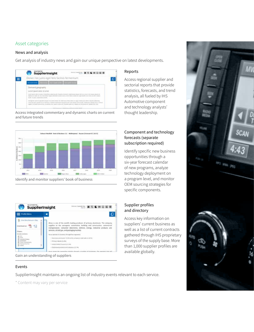# Asset categories

## News and analysis

Get analysis of industry news and gain our unique perspective on latest developments.



Access integrated commentary and dynamic charts on current and future trends



Identify and monitor suppliers' book of business



Gain an understanding of suppliers

#### Events

SupplierInsight maintains an ongoing list of industry events relevant to each service.

\* Content may vary per service

#### Reports

Access regional supplier and sectorial reports that provide statistics, forecasts, and trend analysis, all fueled by IHS Automotive component and technology analysts' thought leadership.

## Component and technology forecasts (separate subscription required)

Identify specific new business opportunities through a six-year forecast calendar of new programs, analyze technology deployment on a program level, and monitor OEM sourcing strategies for specific components.

## Supplier profiles and directory

Access key information on suppliers' current business as well as a list of current contracts gathered through IHS proprietary surveys of the supply base. More than 1,000 supplier profiles are available globally.